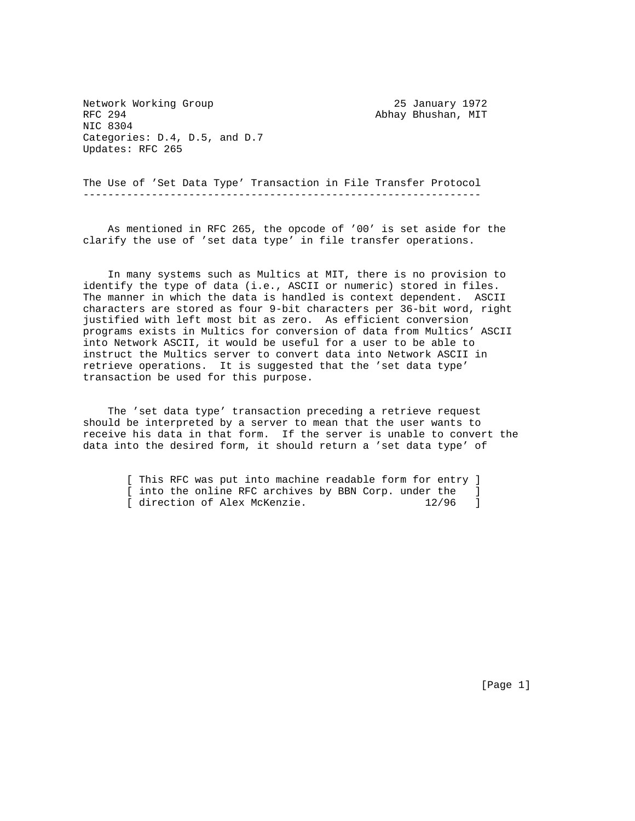Network Working Group 25 January 1972 RFC 294 **Abhay Bhushan, MIT** NIC 8304 Categories: D.4, D.5, and D.7 Updates: RFC 265

The Use of 'Set Data Type' Transaction in File Transfer Protocol ----------------------------------------------------------------

 As mentioned in RFC 265, the opcode of '00' is set aside for the clarify the use of 'set data type' in file transfer operations.

 In many systems such as Multics at MIT, there is no provision to identify the type of data (i.e., ASCII or numeric) stored in files. The manner in which the data is handled is context dependent. ASCII characters are stored as four 9-bit characters per 36-bit word, right justified with left most bit as zero. As efficient conversion programs exists in Multics for conversion of data from Multics' ASCII into Network ASCII, it would be useful for a user to be able to instruct the Multics server to convert data into Network ASCII in retrieve operations. It is suggested that the 'set data type' transaction be used for this purpose.

 The 'set data type' transaction preceding a retrieve request should be interpreted by a server to mean that the user wants to receive his data in that form. If the server is unable to convert the data into the desired form, it should return a 'set data type' of

 [ This RFC was put into machine readable form for entry ] [ into the online RFC archives by BBN Corp. under the ]<br>[ direction of Alex McKenzie. 12/96 ] [ direction of Alex McKenzie.

[Page 1]